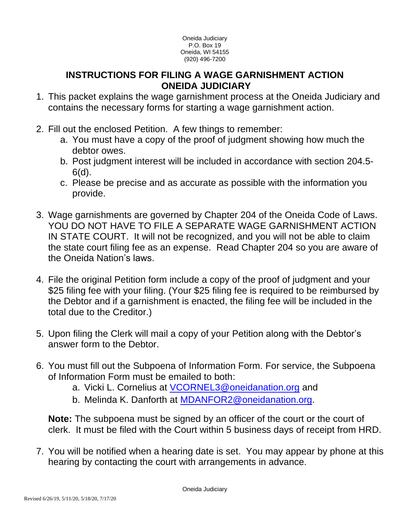#### Oneida Judiciary P.O. Box 19 Oneida, WI 54155 (920) 496-7200

## **INSTRUCTIONS FOR FILING A WAGE GARNISHMENT ACTION ONEIDA JUDICIARY**

- 1. This packet explains the wage garnishment process at the Oneida Judiciary and contains the necessary forms for starting a wage garnishment action.
- 2. Fill out the enclosed Petition. A few things to remember:
	- a. You must have a copy of the proof of judgment showing how much the debtor owes.
	- b. Post judgment interest will be included in accordance with section 204.5- 6(d).
	- c. Please be precise and as accurate as possible with the information you provide.
- 3. Wage garnishments are governed by Chapter 204 of the Oneida Code of Laws. YOU DO NOT HAVE TO FILE A SEPARATE WAGE GARNISHMENT ACTION IN STATE COURT. It will not be recognized, and you will not be able to claim the state court filing fee as an expense. Read Chapter 204 so you are aware of the Oneida Nation's laws.
- 4. File the original Petition form include a copy of the proof of judgment and your \$25 filing fee with your filing. (Your \$25 filing fee is required to be reimbursed by the Debtor and if a garnishment is enacted, the filing fee will be included in the total due to the Creditor.)
- 5. Upon filing the Clerk will mail a copy of your Petition along with the Debtor's answer form to the Debtor.
- 6. You must fill out the Subpoena of Information Form. For service, the Subpoena of Information Form must be emailed to both:
	- a. Vicki L. Cornelius at VCORNEL3@oneidanation.org and
	- b. Melinda K. Danforth at MDANFOR2@oneidanation.org.

**Note:** The subpoena must be signed by an officer of the court or the court of clerk. It must be filed with the Court within 5 business days of receipt from HRD.

7. You will be notified when a hearing date is set. You may appear by phone at this hearing by contacting the court with arrangements in advance.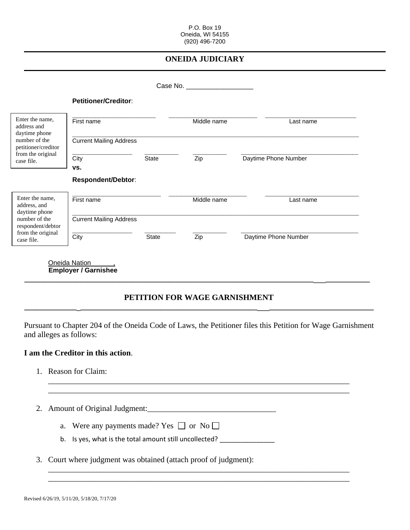#### **ONEIDA JUDICIARY**

|                                                                         | <b>Petitioner/Creditor:</b>                  |              |             |                      |  |
|-------------------------------------------------------------------------|----------------------------------------------|--------------|-------------|----------------------|--|
| Enter the name,<br>address and<br>daytime phone                         | First name                                   |              | Middle name | Last name            |  |
| number of the<br>petitioner/creditor<br>from the original<br>case file. | <b>Current Mailing Address</b>               |              |             |                      |  |
|                                                                         | City<br>VS.                                  | State        | Zip         | Daytime Phone Number |  |
|                                                                         | <b>Respondent/Debtor:</b>                    |              |             |                      |  |
| Enter the name,<br>address, and<br>daytime phone                        | First name                                   |              | Middle name | Last name            |  |
| number of the<br>respondent/debtor<br>from the original<br>case file.   | <b>Current Mailing Address</b>               |              |             |                      |  |
|                                                                         | City                                         | <b>State</b> | Zip         | Daytime Phone Number |  |
|                                                                         | Oneida Nation<br><b>Employer / Garnishee</b> |              |             |                      |  |

#### **PETITION FOR WAGE GARNISHMENT \_\_\_\_\_\_\_\_\_\_\_\_\_\_\_\_\_\_\_\_\_\_\_\_\_\_\_\_\_\_\_\_\_\_\_\_\_\_\_\_\_\_\_\_\_\_\_\_\_\_\_\_\_\_\_\_\_\_\_\_\_\_\_\_\_\_\_\_\_\_\_\_\_\_\_\_\_\_\_\_\_\_\_\_\_\_\_**

Pursuant to Chapter 204 of the Oneida Code of Laws, the Petitioner files this Petition for Wage Garnishment and alleges as follows:

\_\_\_\_\_\_\_\_\_\_\_\_\_\_\_\_\_\_\_\_\_\_\_\_\_\_\_\_\_\_\_\_\_\_\_\_\_\_\_\_\_\_\_\_\_\_\_\_\_\_\_\_\_\_\_\_\_\_\_\_\_\_\_\_\_\_\_\_\_\_\_\_\_\_\_ \_\_\_\_\_\_\_\_\_\_\_\_\_\_\_\_\_\_\_\_\_\_\_\_\_\_\_\_\_\_\_\_\_\_\_\_\_\_\_\_\_\_\_\_\_\_\_\_\_\_\_\_\_\_\_\_\_\_\_\_\_\_\_\_\_\_\_\_\_\_\_\_\_\_\_

\_\_\_\_\_\_\_\_\_\_\_\_\_\_\_\_\_\_\_\_\_\_\_\_\_\_\_\_\_\_\_\_\_\_\_\_\_\_\_\_\_\_\_\_\_\_\_\_\_\_\_\_\_\_\_\_\_\_\_\_\_\_\_\_\_\_\_\_\_\_\_\_\_\_\_ \_\_\_\_\_\_\_\_\_\_\_\_\_\_\_\_\_\_\_\_\_\_\_\_\_\_\_\_\_\_\_\_\_\_\_\_\_\_\_\_\_\_\_\_\_\_\_\_\_\_\_\_\_\_\_\_\_\_\_\_\_\_\_\_\_\_\_\_\_\_\_\_\_\_\_

#### **I am the Creditor in this action**.

1. Reason for Claim:

2. Amount of Original Judgment:\_\_\_\_\_\_\_\_\_\_\_\_\_\_\_\_\_\_\_\_\_\_\_\_\_\_\_\_\_\_\_\_

- a. Were any payments made? Yes  $\Box$  or No  $\Box$
- b. Is yes, what is the total amount still uncollected?
- 3. Court where judgment was obtained (attach proof of judgment):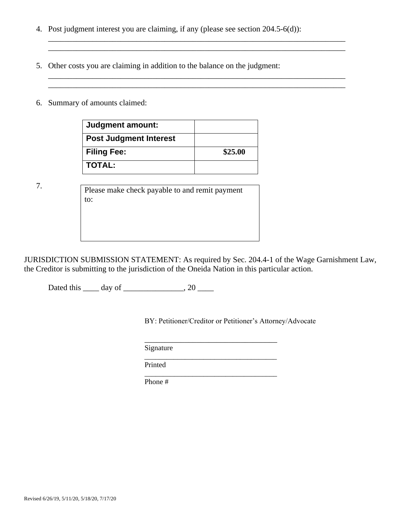4. Post judgment interest you are claiming, if any (please see section 204.5-6(d)):

\_\_\_\_\_\_\_\_\_\_\_\_\_\_\_\_\_\_\_\_\_\_\_\_\_\_\_\_\_\_\_\_\_\_\_\_\_\_\_\_\_\_\_\_\_\_\_\_\_\_\_\_\_\_\_\_\_\_\_\_\_\_\_\_\_\_\_\_\_\_\_\_\_\_ \_\_\_\_\_\_\_\_\_\_\_\_\_\_\_\_\_\_\_\_\_\_\_\_\_\_\_\_\_\_\_\_\_\_\_\_\_\_\_\_\_\_\_\_\_\_\_\_\_\_\_\_\_\_\_\_\_\_\_\_\_\_\_\_\_\_\_\_\_\_\_\_\_\_

\_\_\_\_\_\_\_\_\_\_\_\_\_\_\_\_\_\_\_\_\_\_\_\_\_\_\_\_\_\_\_\_\_\_\_\_\_\_\_\_\_\_\_\_\_\_\_\_\_\_\_\_\_\_\_\_\_\_\_\_\_\_\_\_\_\_\_\_\_\_\_\_\_\_ \_\_\_\_\_\_\_\_\_\_\_\_\_\_\_\_\_\_\_\_\_\_\_\_\_\_\_\_\_\_\_\_\_\_\_\_\_\_\_\_\_\_\_\_\_\_\_\_\_\_\_\_\_\_\_\_\_\_\_\_\_\_\_\_\_\_\_\_\_\_\_\_\_\_

- 5. Other costs you are claiming in addition to the balance on the judgment:
- 6. Summary of amounts claimed:

| <b>Judgment amount:</b>       |         |
|-------------------------------|---------|
| <b>Post Judgment Interest</b> |         |
| <b>Filing Fee:</b>            | \$25.00 |
| <b>TOTAL:</b>                 |         |

7.

| Please make check payable to and remit payment |  |
|------------------------------------------------|--|
| to:                                            |  |
|                                                |  |
|                                                |  |
|                                                |  |
|                                                |  |

JURISDICTION SUBMISSION STATEMENT: As required by Sec. 204.4-1 of the Wage Garnishment Law, the Creditor is submitting to the jurisdiction of the Oneida Nation in this particular action.

 $\frac{1}{\sqrt{2}}$  ,  $\frac{1}{\sqrt{2}}$  ,  $\frac{1}{\sqrt{2}}$  ,  $\frac{1}{\sqrt{2}}$  ,  $\frac{1}{\sqrt{2}}$  ,  $\frac{1}{\sqrt{2}}$  ,  $\frac{1}{\sqrt{2}}$  ,  $\frac{1}{\sqrt{2}}$  ,  $\frac{1}{\sqrt{2}}$  ,  $\frac{1}{\sqrt{2}}$  ,  $\frac{1}{\sqrt{2}}$  ,  $\frac{1}{\sqrt{2}}$  ,  $\frac{1}{\sqrt{2}}$  ,  $\frac{1}{\sqrt{2}}$  ,  $\frac{1}{\sqrt{2}}$ 

Dated this  $\_\_\_$  day of  $\_\_\_\_\_\_$ , 20  $\_\_\_\_\$ 

BY: Petitioner/Creditor or Petitioner's Attorney/Advocate

\_\_\_\_\_\_\_\_\_\_\_\_\_\_\_\_\_\_\_\_\_\_\_\_\_\_\_\_\_\_\_\_\_ Signature

Printed

\_\_\_\_\_\_\_\_\_\_\_\_\_\_\_\_\_\_\_\_\_\_\_\_\_\_\_\_\_\_\_\_\_\_\_\_ Phone #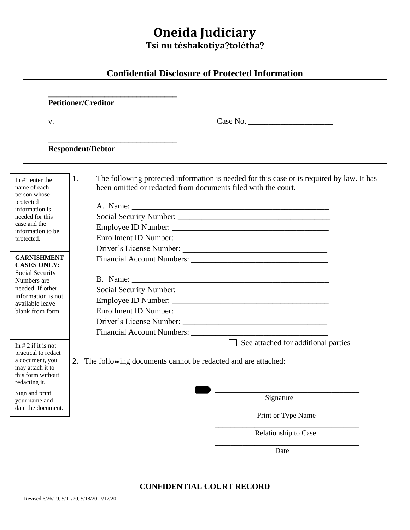# **Oneida Judiciary Tsi nu téshakotiya**?**tolétha**?

#### **Confidential Disclosure of Protected Information**

#### **Petitioner/Creditor**

**\_\_\_\_\_\_\_\_\_\_\_\_\_\_\_\_\_\_\_\_\_\_\_\_\_\_\_\_\_\_\_\_**

\_\_\_\_\_\_\_\_\_\_\_\_\_\_\_\_\_\_\_\_\_\_\_\_\_\_\_\_\_\_\_\_

v. Case No. \_\_\_\_\_\_\_\_\_\_\_\_\_\_\_\_\_\_\_\_\_

#### **Respondent/Debtor**

| In $#1$ enter the<br>name of each<br>person whose                                                | 1.<br>The following protected information is needed for this case or is required by law. It has<br>been omitted or redacted from documents filed with the court. |  |  |
|--------------------------------------------------------------------------------------------------|------------------------------------------------------------------------------------------------------------------------------------------------------------------|--|--|
| protected<br>information is                                                                      |                                                                                                                                                                  |  |  |
| needed for this                                                                                  |                                                                                                                                                                  |  |  |
| case and the<br>information to be                                                                |                                                                                                                                                                  |  |  |
| protected.                                                                                       |                                                                                                                                                                  |  |  |
|                                                                                                  |                                                                                                                                                                  |  |  |
| <b>GARNISHMENT</b><br><b>CASES ONLY:</b>                                                         |                                                                                                                                                                  |  |  |
| Social Security<br>Numbers are                                                                   |                                                                                                                                                                  |  |  |
| needed. If other                                                                                 |                                                                                                                                                                  |  |  |
| information is not<br>available leave                                                            |                                                                                                                                                                  |  |  |
| blank from form.                                                                                 |                                                                                                                                                                  |  |  |
|                                                                                                  |                                                                                                                                                                  |  |  |
|                                                                                                  | Financial Account Numbers: Universe and Account Numbers:                                                                                                         |  |  |
| In $# 2$ if it is not                                                                            | See attached for additional parties                                                                                                                              |  |  |
| practical to redact<br>a document, you<br>may attach it to<br>this form without<br>redacting it. | The following documents cannot be redacted and are attached:<br>2.                                                                                               |  |  |
| Sign and print<br>your name and                                                                  | Signature                                                                                                                                                        |  |  |
| date the document.                                                                               | Print or Type Name                                                                                                                                               |  |  |
|                                                                                                  | Relationship to Case                                                                                                                                             |  |  |

Date

#### **CONFIDENTIAL COURT RECORD**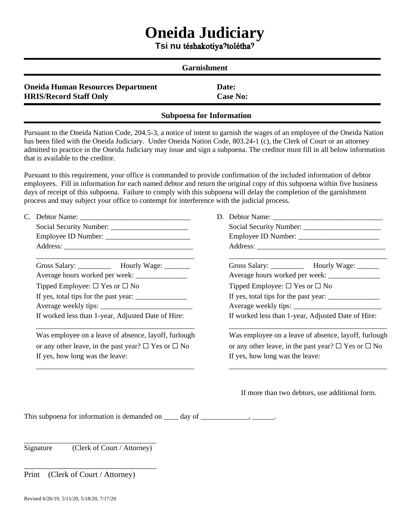# **Oneida Judiciary**

**Tsi nu** téshakotiya>tolétha>

|                                                                                                                                                                                                                                                                                                                                                                                                                                                                       | <b>Garnishment</b>                                                                                                                                                                                                                                      |  |  |  |
|-----------------------------------------------------------------------------------------------------------------------------------------------------------------------------------------------------------------------------------------------------------------------------------------------------------------------------------------------------------------------------------------------------------------------------------------------------------------------|---------------------------------------------------------------------------------------------------------------------------------------------------------------------------------------------------------------------------------------------------------|--|--|--|
| <b>Oneida Human Resources Department</b><br><b>HRIS/Record Staff Only</b>                                                                                                                                                                                                                                                                                                                                                                                             | Date:<br><b>Case No:</b>                                                                                                                                                                                                                                |  |  |  |
|                                                                                                                                                                                                                                                                                                                                                                                                                                                                       | <b>Subpoena for Information</b>                                                                                                                                                                                                                         |  |  |  |
| has been filed with the Oneida Judiciary. Under Oneida Nation Code, 803.24-1 (c), the Clerk of Court or an attorney<br>that is available to the creditor.                                                                                                                                                                                                                                                                                                             | Pursuant to the Oneida Nation Code, 204.5-3, a notice of intent to garnish the wages of an employee of the Oneida Nation<br>admitted to practice in the Oneida Judiciary may issue and sign a subpoena. The creditor must fill in all below information |  |  |  |
| Pursuant to this requirement, your office is commanded to provide confirmation of the included information of debtor<br>employees. Fill in information for each named debtor and return the original copy of this subpoena within five business<br>days of receipt of this subpoena. Failure to comply with this subpoena will delay the completion of the garnishment<br>process and may subject your office to contempt for interference with the judicial process. |                                                                                                                                                                                                                                                         |  |  |  |
|                                                                                                                                                                                                                                                                                                                                                                                                                                                                       |                                                                                                                                                                                                                                                         |  |  |  |
|                                                                                                                                                                                                                                                                                                                                                                                                                                                                       |                                                                                                                                                                                                                                                         |  |  |  |
|                                                                                                                                                                                                                                                                                                                                                                                                                                                                       |                                                                                                                                                                                                                                                         |  |  |  |
|                                                                                                                                                                                                                                                                                                                                                                                                                                                                       |                                                                                                                                                                                                                                                         |  |  |  |
| Gross Salary: _____________ Hourly Wage: _______                                                                                                                                                                                                                                                                                                                                                                                                                      | Gross Salary: _____________ Hourly Wage: _______                                                                                                                                                                                                        |  |  |  |
|                                                                                                                                                                                                                                                                                                                                                                                                                                                                       |                                                                                                                                                                                                                                                         |  |  |  |
| Tipped Employee: $\square$ Yes or $\square$ No                                                                                                                                                                                                                                                                                                                                                                                                                        | Tipped Employee: $\square$ Yes or $\square$ No                                                                                                                                                                                                          |  |  |  |
|                                                                                                                                                                                                                                                                                                                                                                                                                                                                       |                                                                                                                                                                                                                                                         |  |  |  |
|                                                                                                                                                                                                                                                                                                                                                                                                                                                                       |                                                                                                                                                                                                                                                         |  |  |  |
| If worked less than 1-year, Adjusted Date of Hire:                                                                                                                                                                                                                                                                                                                                                                                                                    | If worked less than 1-year, Adjusted Date of Hire:                                                                                                                                                                                                      |  |  |  |
| Was employee on a leave of absence, layoff, furlough                                                                                                                                                                                                                                                                                                                                                                                                                  | Was employee on a leave of absence, layoff, furlough                                                                                                                                                                                                    |  |  |  |
| or any other leave, in the past year? $\square$ Yes or $\square$ No                                                                                                                                                                                                                                                                                                                                                                                                   | or any other leave, in the past year? $\square$ Yes or $\square$ No                                                                                                                                                                                     |  |  |  |
| If yes, how long was the leave:                                                                                                                                                                                                                                                                                                                                                                                                                                       | If yes, how long was the leave:                                                                                                                                                                                                                         |  |  |  |
|                                                                                                                                                                                                                                                                                                                                                                                                                                                                       |                                                                                                                                                                                                                                                         |  |  |  |

Signature (Clerk of Court / Attorney)

\_\_\_\_\_\_\_\_\_\_\_\_\_\_\_\_\_\_\_\_\_\_\_\_\_\_\_\_\_\_\_\_\_

Print (Clerk of Court / Attorney)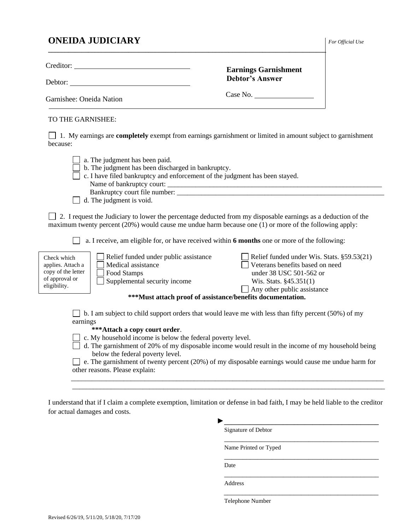#### **ONEIDA JUDICIARY** *For Official Use*

Debtor:

Creditor:

**Earnings Garnishment Debtor's Answer**

Case No.

Garnishee: Oneida Nation

## TO THE GARNISHEE:

1. My earnings are **completely** exempt from earnings garnishment or limited in amount subject to garnishment because:

**\_\_\_\_\_\_\_\_\_\_\_\_\_\_\_\_\_\_\_\_\_\_\_\_\_\_\_\_\_\_\_\_\_\_\_\_\_\_\_\_\_\_\_\_\_\_\_\_\_\_\_\_\_\_\_\_\_\_\_\_\_\_\_\_\_\_\_\_\_\_\_\_\_\_\_\_\_\_\_\_\_\_\_**

| occause.                                                                                 |                                                                                                                                                                                                 |                                                                                                                                                                                                                                                                                                                  |  |  |
|------------------------------------------------------------------------------------------|-------------------------------------------------------------------------------------------------------------------------------------------------------------------------------------------------|------------------------------------------------------------------------------------------------------------------------------------------------------------------------------------------------------------------------------------------------------------------------------------------------------------------|--|--|
|                                                                                          | a. The judgment has been paid.<br>b. The judgment has been discharged in bankruptcy.<br>c. I have filed bankruptcy and enforcement of the judgment has been stayed.<br>d. The judgment is void. |                                                                                                                                                                                                                                                                                                                  |  |  |
|                                                                                          |                                                                                                                                                                                                 | 2. I request the Judiciary to lower the percentage deducted from my disposable earnings as a deduction of the<br>maximum twenty percent $(20%)$ would cause me undue harm because one $(1)$ or more of the following apply:                                                                                      |  |  |
|                                                                                          | a. I receive, am eligible for, or have received within 6 months one or more of the following:                                                                                                   |                                                                                                                                                                                                                                                                                                                  |  |  |
| Check which<br>applies. Attach a<br>copy of the letter<br>of approval or<br>eligibility. | Relief funded under public assistance<br>Medical assistance<br>Food Stamps<br>Supplemental security income                                                                                      | Relief funded under Wis. Stats. §59.53(21)<br>Veterans benefits based on need<br>under 38 USC 501-562 or<br>Wis. Stats. §45.351(1)<br>$\Box$ Any other public assistance                                                                                                                                         |  |  |
|                                                                                          | ***Must attach proof of assistance/benefits documentation.                                                                                                                                      |                                                                                                                                                                                                                                                                                                                  |  |  |
| earnings                                                                                 | *** Attach a copy court order.<br>c. My household income is below the federal poverty level.<br>below the federal poverty level.<br>other reasons. Please explain:                              | b. I am subject to child support orders that would leave me with less than fifty percent (50%) of my<br>d. The garnishment of 20% of my disposable income would result in the income of my household being<br>e. The garnishment of twenty percent (20%) of my disposable earnings would cause me undue harm for |  |  |

I understand that if I claim a complete exemption, limitation or defense in bad faith, I may be held liable to the creditor for actual damages and costs.

\_\_\_\_\_\_\_\_\_\_\_\_\_\_\_\_\_\_\_\_\_\_\_\_\_\_\_\_\_\_\_\_\_\_\_\_\_\_\_\_\_\_\_\_\_\_\_\_\_\_\_\_\_\_\_\_\_\_\_\_\_\_\_\_\_\_\_\_\_\_\_\_\_\_\_\_\_\_\_\_\_\_\_\_\_\_\_\_\_

| Signature of Debtor   |  |
|-----------------------|--|
| Name Printed or Typed |  |
| Date                  |  |
| Address               |  |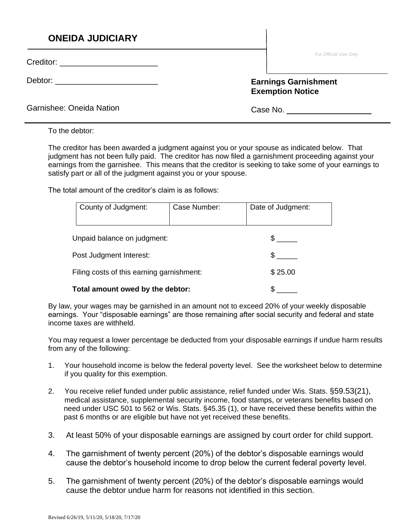## **ONEIDA JUDICIARY**

Creditor: \_\_\_\_\_\_\_\_\_\_\_\_\_\_\_\_\_\_\_\_\_\_

Debtor: \_\_\_\_\_\_\_\_\_\_\_\_\_\_\_\_\_\_\_\_\_\_\_

#### **Earnings Garnishment Exemption Notice**

Case No.

Garnishee: Oneida Nation

To the debtor:

The creditor has been awarded a judgment against you or your spouse as indicated below. That judgment has not been fully paid. The creditor has now filed a garnishment proceeding against your earnings from the garnishee. This means that the creditor is seeking to take some of your earnings to satisfy part or all of the judgment against you or your spouse.

The total amount of the creditor's claim is as follows:

| County of Judgment:                       | Case Number: | Date of Judgment: |  |
|-------------------------------------------|--------------|-------------------|--|
| Unpaid balance on judgment:               |              | S.                |  |
| Post Judgment Interest:                   |              | SS.               |  |
| Filing costs of this earning garnishment: | \$25.00      |                   |  |
| Total amount owed by the debtor:          |              |                   |  |

By law, your wages may be garnished in an amount not to exceed 20% of your weekly disposable earnings. Your "disposable earnings" are those remaining after social security and federal and state income taxes are withheld.

You may request a lower percentage be deducted from your disposable earnings if undue harm results from any of the following:

- 1. Your household income is below the federal poverty level. See the worksheet below to determine if you quality for this exemption.
- 2. You receive relief funded under public assistance, relief funded under Wis. Stats. §59.53(21), medical assistance, supplemental security income, food stamps, or veterans benefits based on need under USC 501 to 562 or Wis. Stats. §45.35 (1), or have received these benefits within the past 6 months or are eligible but have not yet received these benefits.
- 3. At least 50% of your disposable earnings are assigned by court order for child support.
- 4. The garnishment of twenty percent (20%) of the debtor's disposable earnings would cause the debtor's household income to drop below the current federal poverty level.
- 5. The garnishment of twenty percent (20%) of the debtor's disposable earnings would cause the debtor undue harm for reasons not identified in this section.

*For Official Use Only*